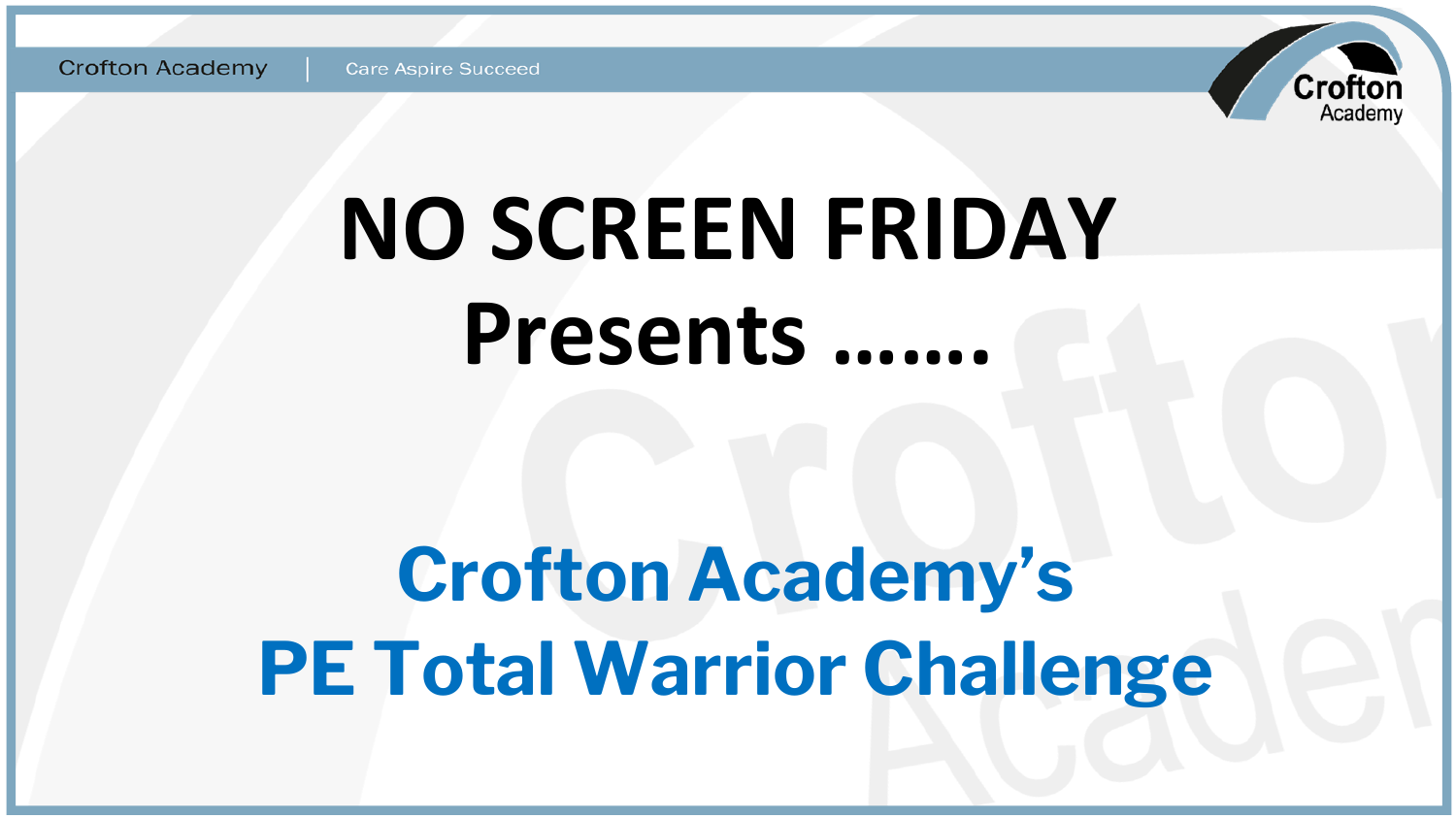

# **NO SCREEN FRIDAY** Presents .......

# **Crofton Academy's PE Total Warrior Challenge**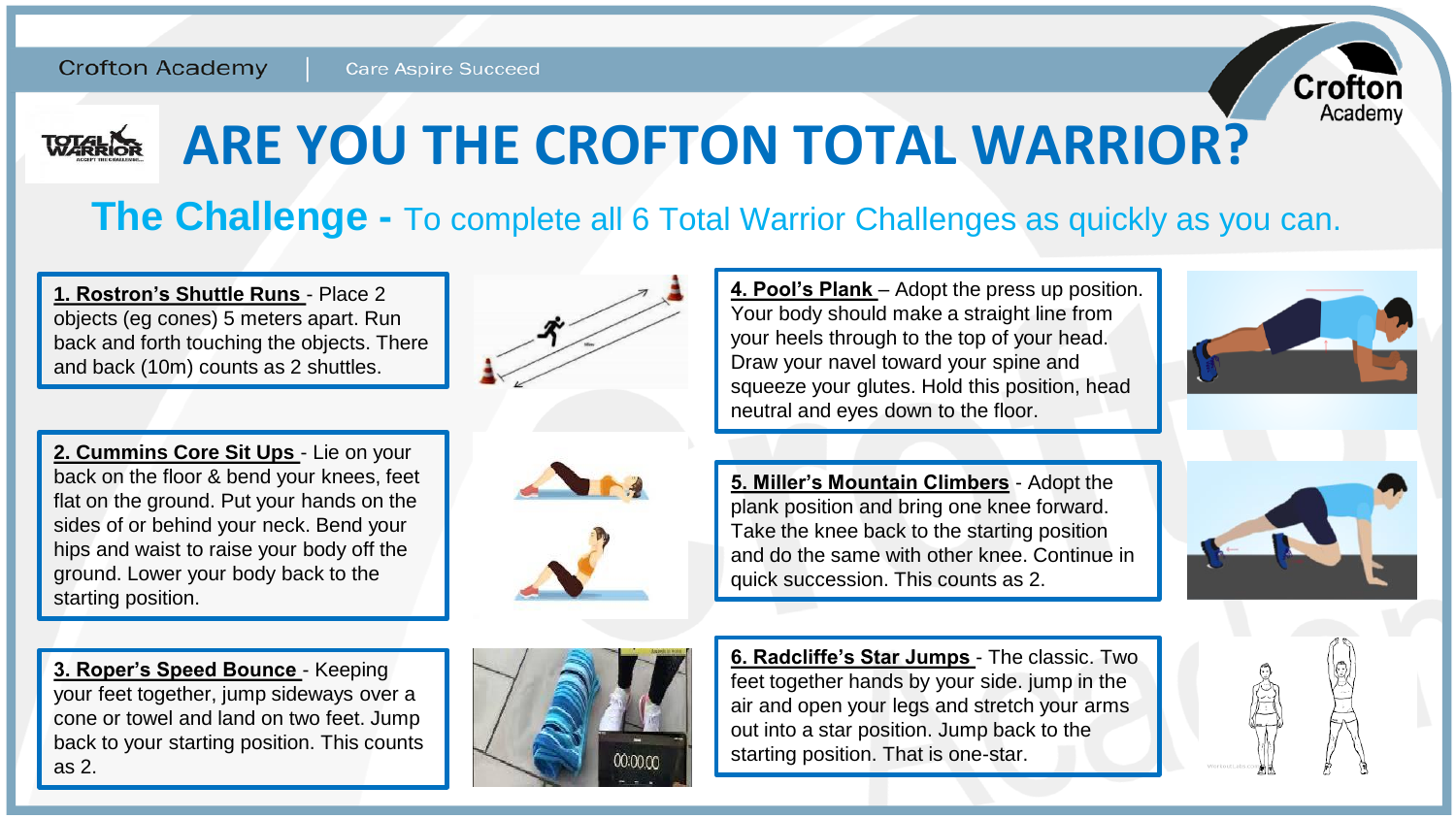

### **ARE YOU THE CROFTON TOTAL WARRIOR? WARRIOR**

### **The Challenge -** To complete all 6 Total Warrior Challenges as quickly as you can.

**1. Rostron's Shuttle Runs** - Place 2 objects (eg cones) 5 meters apart. Run back and forth touching the objects. There and back (10m) counts as 2 shuttles.



**2. Cummins Core Sit Ups** - Lie on your back on the floor & bend your knees, feet flat on the ground. Put your hands on the sides of or behind your neck. Bend your hips and waist to raise your body off the ground. Lower your body back to the starting position.

**3. Roper's Speed Bounce** - Keeping your feet together, jump sideways over a cone or towel and land on two feet. Jump back to your starting position. This counts as 2.





**4. Pool's Plank** – Adopt the press up position. Your body should make a straight line from your heels through to the top of your head. Draw your navel toward your spine and squeeze your glutes. Hold this position, head neutral and eyes down to the floor.

**5. Miller's Mountain Climbers** - Adopt the plank position and bring one knee forward. Take the knee back to the starting position and do the same with other knee. Continue in quick succession. This counts as 2.

**6. Radcliffe's Star Jumps** - The classic. Two feet together hands by your side. jump in the air and open your legs and stretch your arms out into a star position. Jump back to the starting position. That is one-star.